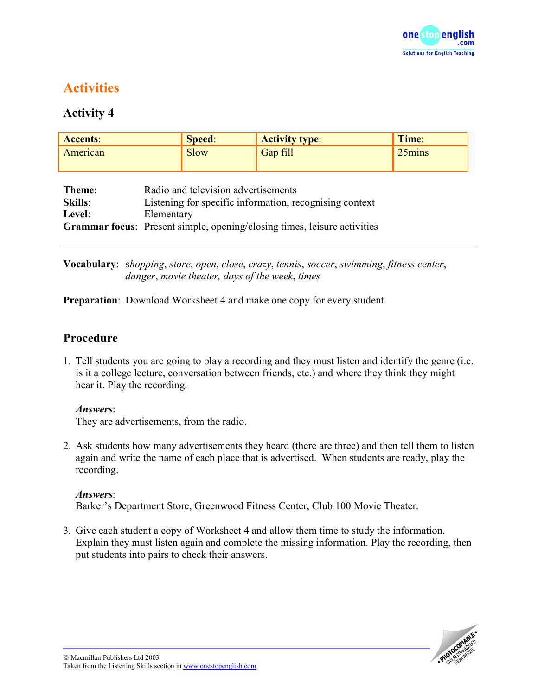

# **Activities**

# **Activity 4**

| <b>Accents:</b>                    |                                                                                                                                                                                                 | Speed:      | <b>Activity type:</b> | Time:  |
|------------------------------------|-------------------------------------------------------------------------------------------------------------------------------------------------------------------------------------------------|-------------|-----------------------|--------|
| American                           |                                                                                                                                                                                                 | <b>Slow</b> | Gap fill              | 25mins |
|                                    |                                                                                                                                                                                                 |             |                       |        |
| Theme:<br><b>Skills:</b><br>Level: | Radio and television advertisements<br>Listening for specific information, recognising context<br>Elementary<br><b>Grammar focus:</b> Present simple, opening/closing times, leisure activities |             |                       |        |

**Vocabulary**: s*hopping*, *store*, *open*, *close*, *crazy*, *tennis*, *soccer*, *swimming*, *fitness center*, *danger*, *movie theater, days of the week*, *times*

**Preparation**: Download Worksheet 4 and make one copy for every student.

### **Procedure**

1. Tell students you are going to play a recording and they must listen and identify the genre (i.e. is it a college lecture, conversation between friends, etc.) and where they think they might hear it. Play the recording.

#### *Answers*:

They are advertisements, from the radio.

2. Ask students how many advertisements they heard (there are three) and then tell them to listen again and write the name of each place that is advertised. When students are ready, play the recording.

#### *Answers*:

Barker's Department Store, Greenwood Fitness Center, Club 100 Movie Theater.

3. Give each student a copy of Worksheet 4 and allow them time to study the information. Explain they must listen again and complete the missing information. Play the recording, then put students into pairs to check their answers.